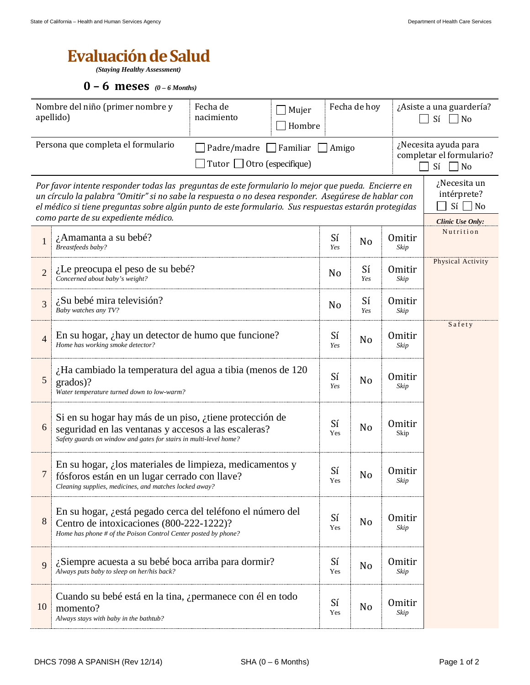## **Evaluación de Salud**

*(Staying Healthy Assessment)* 

 **0 – 6 meses** *(0 – 6 Months)* 

| Nombre del niño (primer nombre y<br>apellido)                                                                                                                                                                                                                                                                                                             |                                                                                                                                                                                      | Fecha de<br>Mujer<br>nacimiento<br>Hombre |           | Fecha de hoy   |                       |                                                                        | ¿Asiste a una guardería?<br>Sí<br>No |  |
|-----------------------------------------------------------------------------------------------------------------------------------------------------------------------------------------------------------------------------------------------------------------------------------------------------------------------------------------------------------|--------------------------------------------------------------------------------------------------------------------------------------------------------------------------------------|-------------------------------------------|-----------|----------------|-----------------------|------------------------------------------------------------------------|--------------------------------------|--|
| Persona que completa el formulario<br>Padre/madre $\Box$ Familiar<br>Tutor $\Box$ Otro (especifique)                                                                                                                                                                                                                                                      |                                                                                                                                                                                      |                                           |           |                | Amigo                 | ¿Necesita ayuda para<br>completar el formulario?<br>$Si \Box No$       |                                      |  |
| Por favor intente responder todas las preguntas de este formulario lo mejor que pueda. Encierre en<br>un círculo la palabra "Omitir" si no sabe la respuesta o no desea responder. Asegúrese de hablar con<br>el médico si tiene preguntas sobre algún punto de este formulario. Sus respuestas estarán protegidas<br>como parte de su expediente médico. |                                                                                                                                                                                      |                                           |           |                |                       | ¿Necesita un<br>intérprete?<br>$Si \Box No$<br><b>Clinic Use Only:</b> |                                      |  |
|                                                                                                                                                                                                                                                                                                                                                           | ¿Amamanta a su bebé?<br>Breastfeeds baby?                                                                                                                                            |                                           |           |                | N <sub>o</sub>        | <b>Omitir</b><br>Skip                                                  | Nutrition                            |  |
| $\mathcal{D}_{\mathcal{A}}$                                                                                                                                                                                                                                                                                                                               | ¿Le preocupa el peso de su bebé?<br>Concerned about baby's weight?                                                                                                                   |                                           |           |                | Sí<br>Yes             | Omitir<br>Skip                                                         | Physical Activity                    |  |
| 3                                                                                                                                                                                                                                                                                                                                                         | $\lambda$ Su bebé mira televisión?<br>Baby watches any TV?                                                                                                                           |                                           | No        | Sí<br>Yes      | <b>Omitir</b><br>Skip |                                                                        |                                      |  |
| $\overline{4}$                                                                                                                                                                                                                                                                                                                                            | En su hogar, ¿hay un detector de humo que funcione?<br>Home has working smoke detector?                                                                                              |                                           | Sí<br>Yes | No             | <b>Omitir</b><br>Skip | Safety                                                                 |                                      |  |
| 5                                                                                                                                                                                                                                                                                                                                                         | ¿Ha cambiado la temperatura del agua a tibia (menos de 120<br>grados)?<br>Water temperature turned down to low-warm?                                                                 |                                           | Sí<br>Yes | N <sub>o</sub> | <b>Omitir</b><br>Skip |                                                                        |                                      |  |
| 6                                                                                                                                                                                                                                                                                                                                                         | Si en su hogar hay más de un piso, ¿tiene protección de<br>seguridad en las ventanas y accesos a las escaleras?<br>Safety guards on window and gates for stairs in multi-level home? |                                           |           |                | N <sub>o</sub>        | <b>Omitir</b><br>Skip                                                  |                                      |  |
| 7                                                                                                                                                                                                                                                                                                                                                         | En su hogar, ¿los materiales de limpieza, medicamentos y<br>fósforos están en un lugar cerrado con llave?<br>Cleaning supplies, medicines, and matches locked away?                  |                                           | Sí<br>Yes | No             | Omitir<br>Skip        |                                                                        |                                      |  |
| 8                                                                                                                                                                                                                                                                                                                                                         | En su hogar, ¿está pegado cerca del teléfono el número del<br>Centro de intoxicaciones (800-222-1222)?<br>Home has phone # of the Poison Control Center posted by phone?             |                                           | Sí<br>Yes | N <sub>o</sub> | <b>Omitir</b><br>Skip |                                                                        |                                      |  |
| 9                                                                                                                                                                                                                                                                                                                                                         | ¿Siempre acuesta a su bebé boca arriba para dormir?<br>Always puts baby to sleep on her/his back?                                                                                    |                                           | Sí<br>Yes | N <sub>o</sub> | <b>Omitir</b><br>Skip |                                                                        |                                      |  |
| 10                                                                                                                                                                                                                                                                                                                                                        | Cuando su bebé está en la tina, ¿permanece con él en todo<br>momento?<br>Always stays with baby in the bathtub?                                                                      |                                           | Sí<br>Yes | N <sub>o</sub> | <b>Omitir</b><br>Skip |                                                                        |                                      |  |